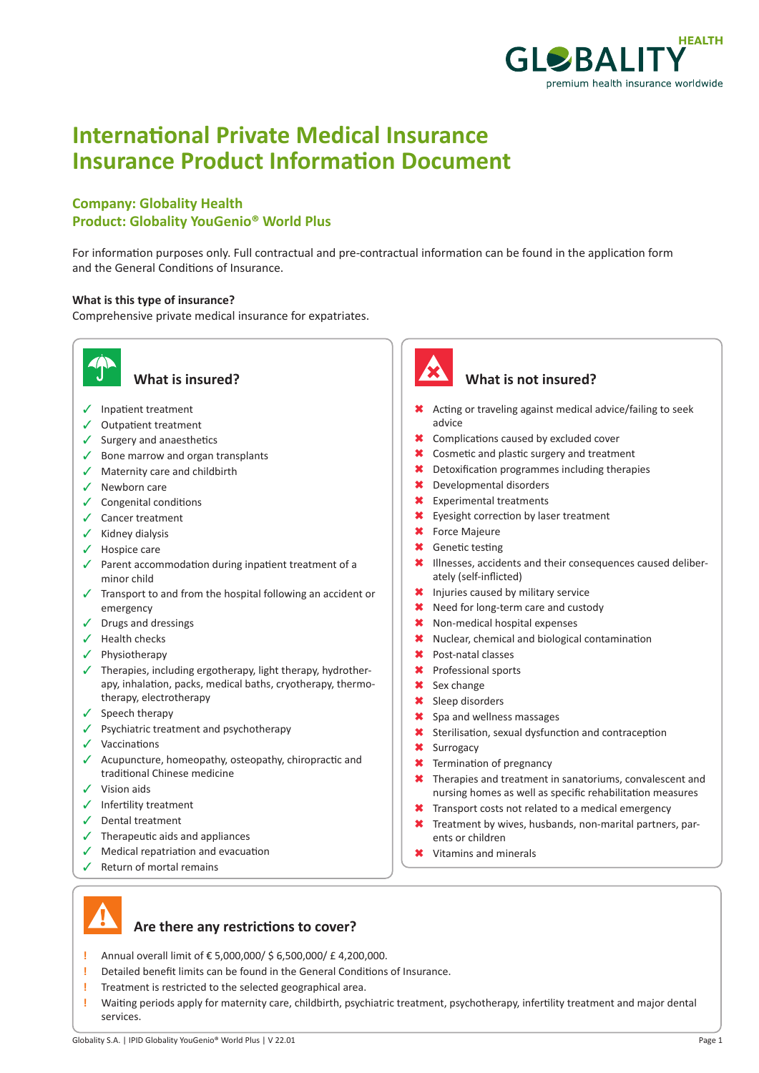

# **International Private Medical Insurance Insurance Product Information Document**

### **Company: Globality Health Product: Globality YouGenio® World Plus**

For information purposes only. Full contractual and pre-contractual information can be found in the application form and the General Conditions of Insurance.

#### **What is this type of insurance?**

Comprehensive private medical insurance for expatriates.



- $\checkmark$  Inpatient treatment
- $\checkmark$  Outpatient treatment
- $\checkmark$  Surgery and anaesthetics
- $\checkmark$  Bone marrow and organ transplants
- $\checkmark$  Maternity care and childbirth
- $\checkmark$  Newborn care
- $\checkmark$  Congenital conditions
- $\checkmark$  Cancer treatment
- $\checkmark$  Kidney dialysis
- $\checkmark$  Hospice care
- $\checkmark$  Parent accommodation during inpatient treatment of a minor child
- $\sqrt{ }$  Transport to and from the hospital following an accident or emergency
- $\checkmark$  Drugs and dressings
- $\checkmark$  Health checks
- $\checkmark$  Physiotherapy
- $\checkmark$  Therapies, including ergotherapy, light therapy, hydrotherapy, inhalation, packs, medical baths, cryotherapy, thermotherapy, electrotherapy
- $\checkmark$  Speech therapy
- $\checkmark$  Psychiatric treatment and psychotherapy
- $\checkmark$  Vaccinations
- $\checkmark$  Acupuncture, homeopathy, osteopathy, chiropractic and traditional Chinese medicine
- $\checkmark$  Vision aids
- $\checkmark$  Infertility treatment
- $\checkmark$  Dental treatment
- $\checkmark$  Therapeutic aids and appliances
- $\sqrt{\phantom{a}}$  Medical repatriation and evacuation
- $\checkmark$  Return of mortal remains



#### **What is insured? What is not insured?**

- \* Acting or traveling against medical advice/failing to seek advice
- \* Complications caused by excluded cover
- **\*** Cosmetic and plastic surgery and treatment
- $\star$  Detoxification programmes including therapies
- 6 Developmental disorders
- **\*** Experimental treatments
- \* Eyesight correction by laser treatment
- **\*** Force Majeure
- **\*** Genetic testing
- \* Illnesses, accidents and their consequences caused deliberately (self-inflicted)
- \* Injuries caused by military service
- \* Need for long-term care and custody
- \* Non-medical hospital expenses
- \* Nuclear, chemical and biological contamination
- \* Post-natal classes
- \* Professional sports
- **\*** Sex change
- **\*** Sleep disorders
- \* Spa and wellness massages
- **\*** Sterilisation, sexual dysfunction and contraception
- **\*** Surrogacy
- **\*** Termination of pregnancy
- $\star$  Therapies and treatment in sanatoriums, convalescent and nursing homes as well as specific rehabilitation measures
- **\*** Transport costs not related to a medical emergency
- $\star$  Treatment by wives, husbands, non-marital partners, parents or children
- **\*** Vitamins and minerals



#### **Are there any restrictions to cover?**

- **!** Annual overall limit of € 5,000,000/ \$ 6,500,000/ £ 4,200,000.
- **!** Detailed benefit limits can be found in the General Conditions of Insurance.
- **!** Treatment is restricted to the selected geographical area.
- **!** Waiting periods apply for maternity care, childbirth, psychiatric treatment, psychotherapy, infertility treatment and major dental services.